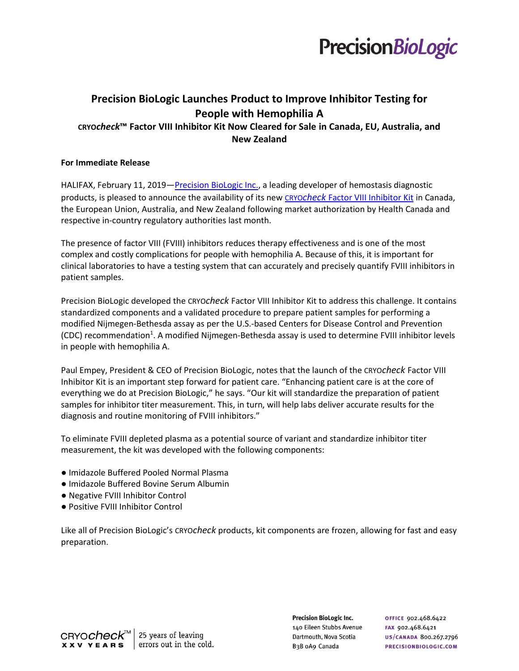

# **Precision BioLogic Launches Product to [Improve Inhibitor Testing for](http://www.precisionbiologic.com/news-events/news/new-approach-standardize-and-improve-inhibitor-testing-people-hemophilia)  [People with Hemophilia A](http://www.precisionbiologic.com/news-events/news/new-approach-standardize-and-improve-inhibitor-testing-people-hemophilia) CRYO***check***™ Factor VIII Inhibitor Kit Now Cleared for Sale in Canada, EU, Australia, and New Zealand**

### **For Immediate Release**

HALIFAX, February 11, 2019—[Precision BioLogic Inc.,](https://precisionbiologic.com/) a leading developer of hemostasis diagnostic products, is pleased to announce the availability of its new CRYO*check* [Factor VIII Inhibitor Kit](https://precisionbiologic.com/products/diagnostic-kits/cryocheck-factor-viii-inhibitor-kit) in Canada, the European Union, Australia, and New Zealand following market authorization by Health Canada and respective in-country regulatory authorities last month.

The presence of factor VIII (FVIII) inhibitors reduces therapy effectiveness and is one of the most complex and costly complications for people with hemophilia A. Because of this, it is important for clinical laboratories to have a testing system that can accurately and precisely quantify FVIII inhibitors in patient samples.

Precision BioLogic developed the CRYO*check* Factor VIII Inhibitor Kit to address this challenge. It contains standardized components and a validated procedure to prepare patient samples for performing a modified Nijmegen-Bethesda assay as per the U.S.-based Centers for Disease Control and Prevention (CDC) recommendation<sup>1</sup>. A modified Nijmegen-Bethesda assay is used to determine FVIII inhibitor levels in people with hemophilia A.

Paul Empey, President & CEO of Precision BioLogic, notes that the launch of the CRYO*check* Factor VIII Inhibitor Kit is an important step forward for patient care. "Enhancing patient care is at the core of everything we do at Precision BioLogic," he says. "Our kit will standardize the preparation of patient samples for inhibitor titer measurement. This, in turn, will help labs deliver accurate results for the diagnosis and routine monitoring of FVIII inhibitors."

To eliminate FVIII depleted plasma as a potential source of variant and standardize inhibitor titer measurement, the kit was developed with the following components:

- Imidazole Buffered Pooled Normal Plasma
- Imidazole Buffered Bovine Serum Albumin
- Negative FVIII Inhibitor Control
- Positive FVIII Inhibitor Control

Like all of Precision BioLogic's CRYO*check* products, kit components are frozen, allowing for fast and easy preparation.

> **Precision BioLogic Inc.** 140 Eileen Stubbs Avenue Dartmouth, Nova Scotia B<sub>3</sub>B oA9 Canada

**OFFICE 902.468.6422** FAX 902.468.6421 US/CANADA 800.267.2796 PRECISIONBIOLOGIC.COM

CRYO*CheCk*™ 25 years of leaving errors out in the cold. **XXV YEARS**